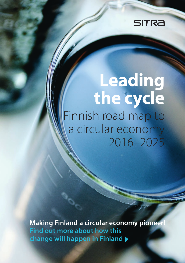

# **Leading the cycle** Finnish road map to a circular economy 2016–2025

**Making Finland a circular economy pioneer Find out more about how this change will happen in Finland**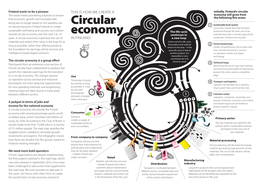## **Finland wants to be a pioneer**

The world needs pioneering solutions to ensure that economic growth and increased wellbeing are no longer based on the wasteful use of natural resources. Finland intends to create sustainable well-being and success via a carbonneutral circular economy over the next 5 to 10 years. A circular economy maximises the use of materials and retains their value in the loop for as long as possible: rather than offering products, the foundation for earnings will be services and intelligence-based digital solutions.

## **The circular economy is a group effort**

Participants from an extensive cross-section of Finnish society have collaborated to produce the world's first national road map for the transition to a circular economy. The change requires co-operation across sectoral and industrial boundaries: the most attractive opportunities for new operating methods and lengthening material loops are often found in these areas between different sectors.

## **A jackpot in terms of jobs and income for the national economy**

A circular economy will provide the Finnish economy with several percentage points worth of added value, which translates into billions of euros, by 2030. According to the Club of Rome, it would create more than 75,000 jobs in a country of 5.5 million people. The road map specifies the tangible actions needed to stimulate growth, investments and exports. The infographic shows how these are divided into five groups, based on Finland's existing strengths.

## **We need more bold operators**

Finnish organisations are already implementing the first projects outlined in the road map, which was only released in September 2016. Finns have been challenged to take action that supplements the road map. We want pioneers to take part in this work. Join forces with other Finns to create the world's best circular economy solutions!

## **the following ve areas:** Circular economy THIS IS HOW WE CREATE A IN FINLAND

ගි

### **Use**

The product should be used for as long as possible, it must be serviced and repaired and parts changed when necessary.

**Consumer**

Demand creates a supply of sustainable products and commodities.

## **From company to company**

Companies will procure and require their subcontractors to provide parts and components that can be easily repaired

– instead of xed and single-use parts.

## **Retail**

Retailers will sell more services instead of goods and inform customers about maintenance and repair services, environmental impacts, materials and further use in the final phase of the life cycle.

At the end of its life cycle, **The life cycle continues in a new loop**

the product and material returns to the loop – in the same life cycle or that of another product. It is impossible or very uncommon for it to become waste.

**1 2**

Transport co-ordinated between different sectors, renewable fuels and jointly owned transport equipment will be used in distribution.

5

**3**

**4**

## **Initially, Finland's circular economy will grow from**

## **Sustainable food system**

**1**

Consumers choose food that has been produced through the wiser use of raw materials that starts in primary agricultural production. Nutrients are recycled.

#### **2 Forest-based loops**

Global competitiveness will increase with new commercial products, services, co-operation models and digital technology.

#### **3 Technical loops**

Minimising the use of virgin raw materials and maximising the length of material and product life cycles create a competitive edge.

#### **4 Transport and logistics**

Transport will develop into a seamless, smart system that uses fossil-free fuels.

#### **5 Common action**

Legislators, companies, universities and research institutes, consumers and citizens, and vibrant regions are all needed to achieve systemic change.

## **Primary sector**

The raw materials are capital for the primary sector. Sustainable solutions are based on the wise use of raw materials.

## **Material processing**

Process planning will decrease the energy need for processing huge amounts of raw materials. The use of side streams will be taken into consideration.

### **Manufacturing Distribution industry**

Long-term products that can be repaired and maintained will be brought onto the market. Materials can be identified and separated at the end of the product's life cycle.